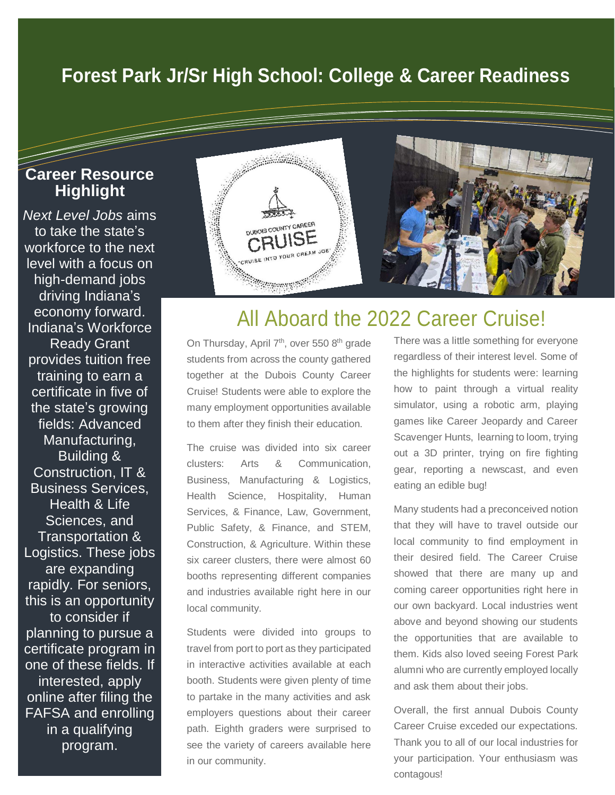## **Forest Park Jr/Sr High School: College & Career Readiness**

#### **Career Resource Highlight**

I

*Next Level Jobs* aims to take the state's workforce to the next level with a focus on high-demand jobs driving Indiana's economy forward. Indiana's Workforce Ready Grant provides tuition free training to earn a certificate in five of the state's growing fields: Advanced Manufacturing, Building & Construction, IT & Business Services, Health & Life Sciences, and Transportation & Logistics. These jobs are expanding rapidly. For seniors, this is an opportunity to consider if planning to pursue a certificate program in one of these fields. If interested, apply online after filing the FAFSA and enrolling in a qualifying program.



## All Aboard the 2022 Career Cruise!

On Thursday, April 7<sup>th</sup>, over 550 8<sup>th</sup> grade students from across the county gathered together at the Dubois County Career Cruise! Students were able to explore the many employment opportunities available to them after they finish their education.

The cruise was divided into six career clusters: Arts & Communication, Business, Manufacturing & Logistics, Health Science, Hospitality, Human Services, & Finance, Law, Government, Public Safety, & Finance, and STEM, Construction, & Agriculture. Within these six career clusters, there were almost 60 booths representing different companies and industries available right here in our local community.

Students were divided into groups to travel from port to port as they participated in interactive activities available at each booth. Students were given plenty of time to partake in the many activities and ask employers questions about their career path. Eighth graders were surprised to see the variety of careers available here in our community.

There was a little something for everyone regardless of their interest level. Some of the highlights for students were: learning how to paint through a virtual reality simulator, using a robotic arm, playing games like Career Jeopardy and Career Scavenger Hunts, learning to loom, trying out a 3D printer, trying on fire fighting gear, reporting a newscast, and even eating an edible bug!

Many students had a preconceived notion that they will have to travel outside our local community to find employment in their desired field. The Career Cruise showed that there are many up and coming career opportunities right here in our own backyard. Local industries went above and beyond showing our students the opportunities that are available to them. Kids also loved seeing Forest Park alumni who are currently employed locally and ask them about their jobs.

Overall, the first annual Dubois County Career Cruise exceded our expectations. Thank you to all of our local industries for your participation. Your enthusiasm was contagous!